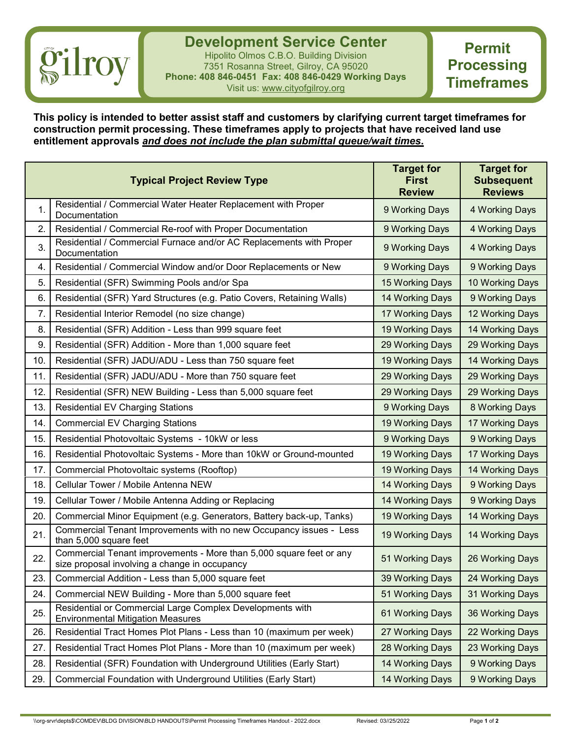## *gilroy*

**Development Service Center** Hipolito Olmos C.B.O. Building Division 7351 Rosanna Street, Gilroy, CA 95020 **Phone: 408 846-0451 Fax: 408 846-0429 Working Days** Visit us: www.cityofgilroy.org

**Permit Processing Timeframes**

**This policy is intended to better assist staff and customers by clarifying current target timeframes for construction permit processing. These timeframes apply to projects that have received land use entitlement approvals** *and does not include the plan submittal queue/wait times***.**

|     | <b>Typical Project Review Type</b>                                                                                   | <b>Target for</b><br><b>First</b><br><b>Review</b> | <b>Target for</b><br><b>Subsequent</b><br><b>Reviews</b> |
|-----|----------------------------------------------------------------------------------------------------------------------|----------------------------------------------------|----------------------------------------------------------|
| 1.  | Residential / Commercial Water Heater Replacement with Proper<br>Documentation                                       | 9 Working Days                                     | 4 Working Days                                           |
| 2.  | Residential / Commercial Re-roof with Proper Documentation                                                           | 9 Working Days                                     | 4 Working Days                                           |
| 3.  | Residential / Commercial Furnace and/or AC Replacements with Proper<br>Documentation                                 | 9 Working Days                                     | 4 Working Days                                           |
| 4.  | Residential / Commercial Window and/or Door Replacements or New                                                      | 9 Working Days                                     | 9 Working Days                                           |
| 5.  | Residential (SFR) Swimming Pools and/or Spa                                                                          | 15 Working Days                                    | 10 Working Days                                          |
| 6.  | Residential (SFR) Yard Structures (e.g. Patio Covers, Retaining Walls)                                               | 14 Working Days                                    | 9 Working Days                                           |
| 7.  | Residential Interior Remodel (no size change)                                                                        | 17 Working Days                                    | 12 Working Days                                          |
| 8.  | Residential (SFR) Addition - Less than 999 square feet                                                               | 19 Working Days                                    | 14 Working Days                                          |
| 9.  | Residential (SFR) Addition - More than 1,000 square feet                                                             | 29 Working Days                                    | 29 Working Days                                          |
| 10. | Residential (SFR) JADU/ADU - Less than 750 square feet                                                               | 19 Working Days                                    | 14 Working Days                                          |
| 11. | Residential (SFR) JADU/ADU - More than 750 square feet                                                               | 29 Working Days                                    | 29 Working Days                                          |
| 12. | Residential (SFR) NEW Building - Less than 5,000 square feet                                                         | 29 Working Days                                    | 29 Working Days                                          |
| 13. | <b>Residential EV Charging Stations</b>                                                                              | 9 Working Days                                     | 8 Working Days                                           |
| 14. | <b>Commercial EV Charging Stations</b>                                                                               | 19 Working Days                                    | 17 Working Days                                          |
| 15. | Residential Photovoltaic Systems - 10kW or less                                                                      | 9 Working Days                                     | 9 Working Days                                           |
| 16. | Residential Photovoltaic Systems - More than 10kW or Ground-mounted                                                  | 19 Working Days                                    | 17 Working Days                                          |
| 17. | Commercial Photovoltaic systems (Rooftop)                                                                            | 19 Working Days                                    | 14 Working Days                                          |
| 18. | Cellular Tower / Mobile Antenna NEW                                                                                  | 14 Working Days                                    | 9 Working Days                                           |
| 19. | Cellular Tower / Mobile Antenna Adding or Replacing                                                                  | 14 Working Days                                    | 9 Working Days                                           |
| 20. | Commercial Minor Equipment (e.g. Generators, Battery back-up, Tanks)                                                 | 19 Working Days                                    | 14 Working Days                                          |
| 21. | Commercial Tenant Improvements with no new Occupancy issues - Less<br>than 5,000 square feet                         | 19 Working Days                                    | 14 Working Days                                          |
| 22. | Commercial Tenant improvements - More than 5,000 square feet or any<br>size proposal involving a change in occupancy | 51 Working Days                                    | 26 Working Days                                          |
| 23. | Commercial Addition - Less than 5,000 square feet                                                                    | 39 Working Days                                    | 24 Working Days                                          |
| 24. | Commercial NEW Building - More than 5,000 square feet                                                                | 51 Working Days                                    | 31 Working Days                                          |
| 25. | Residential or Commercial Large Complex Developments with<br><b>Environmental Mitigation Measures</b>                | 61 Working Days                                    | 36 Working Days                                          |
| 26. | Residential Tract Homes Plot Plans - Less than 10 (maximum per week)                                                 | 27 Working Days                                    | 22 Working Days                                          |
| 27. | Residential Tract Homes Plot Plans - More than 10 (maximum per week)                                                 | 28 Working Days                                    | 23 Working Days                                          |
| 28. | Residential (SFR) Foundation with Underground Utilities (Early Start)                                                | 14 Working Days                                    | 9 Working Days                                           |
| 29. | Commercial Foundation with Underground Utilities (Early Start)                                                       | 14 Working Days                                    | 9 Working Days                                           |